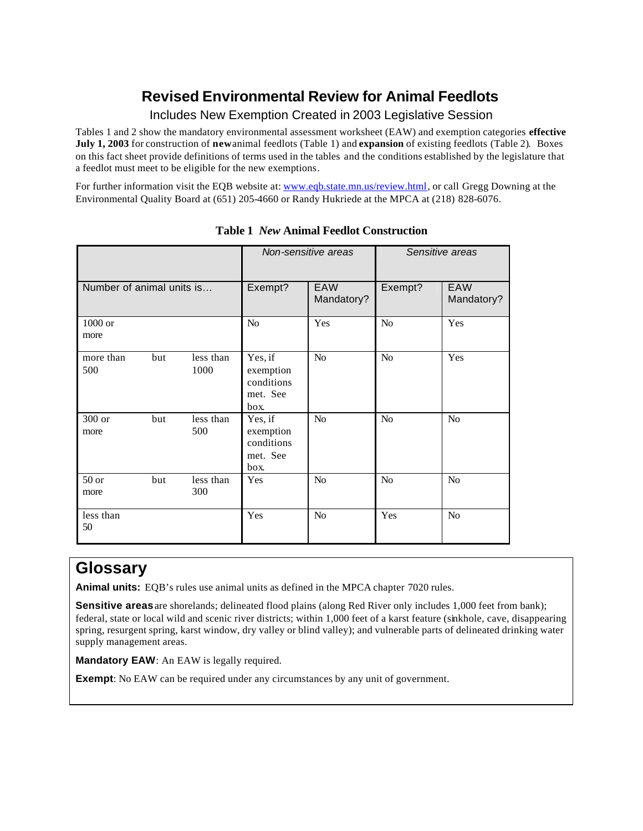## **Revised Environmental Review for Animal Feedlots**

### Includes New Exemption Created in 2003 Legislative Session

Tables 1 and 2 show the mandatory environmental assessment worksheet (EAW) and exemption categories **effective July 1, 2003** for construction of **new** animal feedlots (Table 1) and **expansion** of existing feedlots (Table 2). Boxes on this fact sheet provide definitions of terms used in the tables and the conditions established by the legislature that a feedlot must meet to be eligible for the new exemptions.

For further information visit the EQB website at: www.eqb.state.mn.us/review.html, or call Gregg Downing at the Environmental Quality Board at (651) 205-4660 or Randy Hukriede at the MPCA at (218) 828-6076.

|                           |     |                   |                                                        | Non-sensitive areas      | Sensitive areas |                   |
|---------------------------|-----|-------------------|--------------------------------------------------------|--------------------------|-----------------|-------------------|
| Number of animal units is |     |                   | Exempt?                                                | <b>EAW</b><br>Mandatory? | Exempt?         | EAW<br>Mandatory? |
| 1000 or<br>more           |     |                   | N <sub>o</sub>                                         | Yes                      | N <sub>o</sub>  | Yes               |
| more than<br>500          | but | less than<br>1000 | Yes, if<br>exemption<br>conditions<br>met. See<br>box. | No                       | N <sub>o</sub>  | Yes               |
| 300 or<br>more            | but | less than<br>500  | Yes, if<br>exemption<br>conditions<br>met. See<br>box. | N <sub>o</sub>           | $\rm No$        | N <sub>o</sub>    |
| $50$ or<br>more           | but | less than<br>300  | Yes                                                    | N <sub>o</sub>           | N <sub>o</sub>  | No                |
| less than<br>50           |     |                   | Yes                                                    | N <sub>o</sub>           | Yes             | N <sub>o</sub>    |

### **Table 1** *New* **Animal Feedlot Construction**

# **Glossary**

**Animal units:** EQB's rules use animal units as defined in the MPCA chapter 7020 rules.

**Sensitive areas** are shorelands; delineated flood plains (along Red River only includes 1,000 feet from bank); federal, state or local wild and scenic river districts; within 1,000 feet of a karst feature (sinkhole, cave, disappearing spring, resurgent spring, karst window, dry valley or blind valley); and vulnerable parts of delineated drinking water supply management areas.

**Mandatory EAW**: An EAW is legally required.

**Exempt**: No EAW can be required under any circumstances by any unit of government.